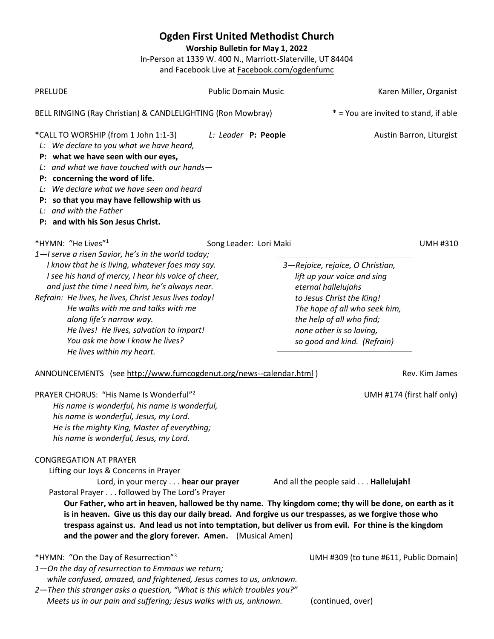## **Ogden First United Methodist Church**

**Worship Bulletin for May 1, 2022**

In-Person at 1339 W. 400 N., Marriott-Slaterville, UT 84404 and Facebook Live at [Facebook.com/ogdenfumc](https://www.facebook.com/ogdenfumc)

| <b>PRELUDE</b>                                                                                                                                                                                                                                                                                                                                                                                                                                                                                                                                                                                      | <b>Public Domain Music</b> |                                                                                                                                                                                                                                              | Karen Miller, Organist                 |  |
|-----------------------------------------------------------------------------------------------------------------------------------------------------------------------------------------------------------------------------------------------------------------------------------------------------------------------------------------------------------------------------------------------------------------------------------------------------------------------------------------------------------------------------------------------------------------------------------------------------|----------------------------|----------------------------------------------------------------------------------------------------------------------------------------------------------------------------------------------------------------------------------------------|----------------------------------------|--|
| * = You are invited to stand, if able<br>BELL RINGING (Ray Christian) & CANDLELIGHTING (Ron Mowbray)                                                                                                                                                                                                                                                                                                                                                                                                                                                                                                |                            |                                                                                                                                                                                                                                              |                                        |  |
| *CALL TO WORSHIP (from 1 John 1:1-3)<br>L: We declare to you what we have heard,<br>P: what we have seen with our eyes,<br>L: and what we have touched with our hands-<br>P: concerning the word of life.<br>We declare what we have seen and heard<br>Ŀ.<br>so that you may have fellowship with us<br>P:<br>L: and with the Father<br>P: and with his Son Jesus Christ.                                                                                                                                                                                                                           | L: Leader P: People        |                                                                                                                                                                                                                                              | Austin Barron, Liturgist               |  |
| *HYMN: "He Lives" <sup>1</sup><br>1-I serve a risen Savior, he's in the world today;<br>I know that he is living, whatever foes may say.<br>I see his hand of mercy, I hear his voice of cheer,<br>and just the time I need him, he's always near.<br>Refrain: He lives, he lives, Christ Jesus lives today!<br>He walks with me and talks with me<br>along life's narrow way.<br>He lives! He lives, salvation to impart!<br>You ask me how I know he lives?<br>He lives within my heart.                                                                                                          | Song Leader: Lori Maki     | 3-Rejoice, rejoice, O Christian,<br>lift up your voice and sing<br>eternal hallelujahs<br>to Jesus Christ the King!<br>The hope of all who seek him,<br>the help of all who find;<br>none other is so loving,<br>so good and kind. (Refrain) | <b>UMH #310</b>                        |  |
| ANNOUNCEMENTS (see http://www.fumcogdenut.org/news--calendar.html)<br>Rev. Kim James                                                                                                                                                                                                                                                                                                                                                                                                                                                                                                                |                            |                                                                                                                                                                                                                                              |                                        |  |
| PRAYER CHORUS: "His Name Is Wonderful" <sup>2</sup><br>His name is wonderful, his name is wonderful,<br>his name is wonderful, Jesus, my Lord.<br>He is the mighty King, Master of everything;<br>his name is wonderful, Jesus, my Lord.                                                                                                                                                                                                                                                                                                                                                            |                            |                                                                                                                                                                                                                                              | UMH #174 (first half only)             |  |
| <b>CONGREGATION AT PRAYER</b><br>Lifting our Joys & Concerns in Prayer<br>Lord, in your mercy hear our prayer<br>And all the people said Hallelujah!<br>Pastoral Prayer followed by The Lord's Prayer<br>Our Father, who art in heaven, hallowed be thy name. Thy kingdom come; thy will be done, on earth as it<br>is in heaven. Give us this day our daily bread. And forgive us our trespasses, as we forgive those who<br>trespass against us. And lead us not into temptation, but deliver us from evil. For thine is the kingdom<br>and the power and the glory forever. Amen. (Musical Amen) |                            |                                                                                                                                                                                                                                              |                                        |  |
| *HYMN: "On the Day of Resurrection" <sup>3</sup><br>1-On the day of resurrection to Emmaus we return;<br>while confused, amazed, and frightened, Jesus comes to us, unknown.<br>2-Then this stranger asks a question, "What is this which troubles you?"                                                                                                                                                                                                                                                                                                                                            |                            |                                                                                                                                                                                                                                              | UMH #309 (to tune #611, Public Domain) |  |
| Meets us in our pain and suffering; Jesus walks with us, unknown.                                                                                                                                                                                                                                                                                                                                                                                                                                                                                                                                   |                            | (continued, over)                                                                                                                                                                                                                            |                                        |  |